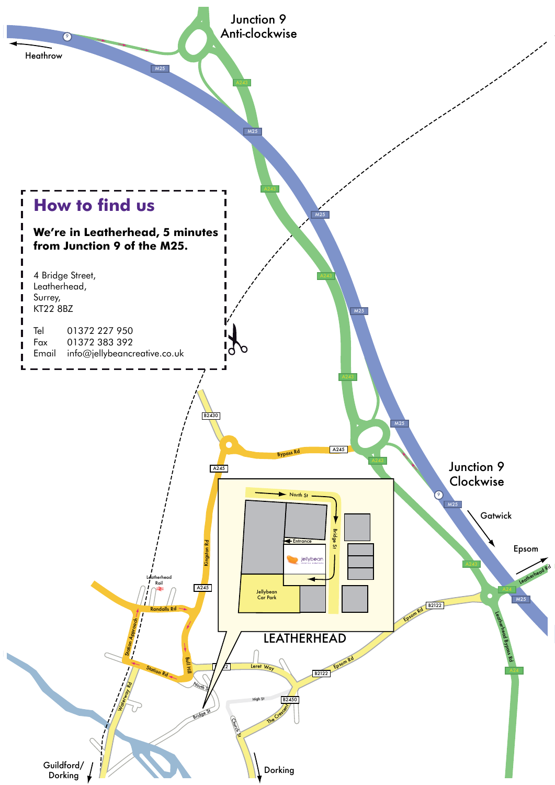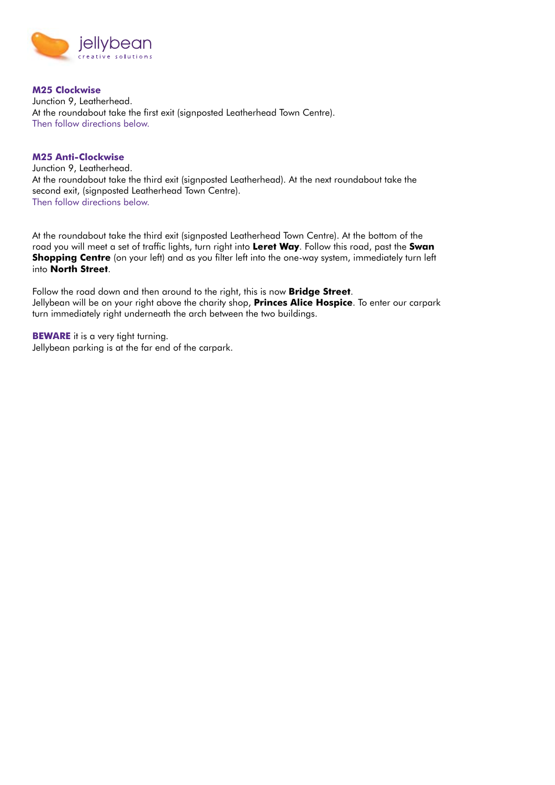

**M25 Clockwise** Junction 9, Leatherhead. At the roundabout take the first exit (signposted Leatherhead Town Centre). Then follow directions below.

## **M25 Anti-Clockwise**

Junction 9, Leatherhead. At the roundabout take the third exit (signposted Leatherhead). At the next roundabout take the second exit, (signposted Leatherhead Town Centre). Then follow directions below.

At the roundabout take the third exit (signposted Leatherhead Town Centre). At the bottom of the road you will meet a set of traffic lights, turn right into **Leret Way**. Follow this road, past the **Swan Shopping Centre** (on your left) and as you filter left into the one-way system, immediately turn left into **North Street**.

Follow the road down and then around to the right, this is now **Bridge Street**. Jellybean will be on your right above the charity shop, **Princes Alice Hospice**. To enter our carpark turn immediately right underneath the arch between the two buildings.

**BEWARE** it is a very tight turning. Jellybean parking is at the far end of the carpark.